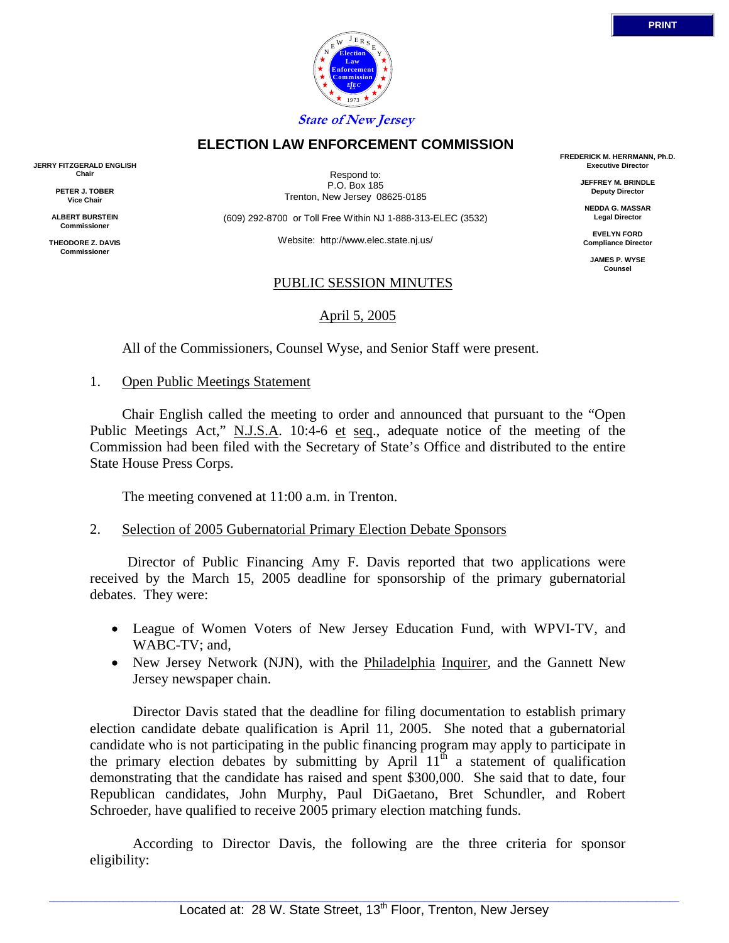# **State of New Jersey**

# **ELECTION LAW ENFORCEMENT COMMISSION**

Respond to: P.O. Box 185 Trenton, New Jersey 08625-0185

(609) 292-8700 or Toll Free Within NJ 1-888-313-ELEC (3532)

Website: http://www.elec.state.nj.us/

#### PUBLIC SESSION MINUTES

April 5, 2005

All of the Commissioners, Counsel Wyse, and Senior Staff were present.

1. Open Public Meetings Statement

**JERRY FITZGERALD ENGLISH Chair PETER J. TOBER Vice Chair ALBERT BURSTEIN Commissioner THEODORE Z. DAVIS Commissione** 

> Chair English called the meeting to order and announced that pursuant to the "Open Public Meetings Act," N.J.S.A. 10:4-6 et seq., adequate notice of the meeting of the Commission had been filed with the Secretary of State's Office and distributed to the entire State House Press Corps.

The meeting convened at 11:00 a.m. in Trenton.

## 2. Selection of 2005 Gubernatorial Primary Election Debate Sponsors

 Director of Public Financing Amy F. Davis reported that two applications were received by the March 15, 2005 deadline for sponsorship of the primary gubernatorial debates. They were:

- League of Women Voters of New Jersey Education Fund, with WPVI-TV, and WABC-TV; and,
- New Jersey Network (NJN), with the Philadelphia Inquirer, and the Gannett New Jersey newspaper chain.

 Director Davis stated that the deadline for filing documentation to establish primary election candidate debate qualification is April 11, 2005. She noted that a gubernatorial candidate who is not participating in the public financing program may apply to participate in the primary election debates by submitting by April  $11<sup>th</sup>$  a statement of qualification demonstrating that the candidate has raised and spent \$300,000. She said that to date, four Republican candidates, John Murphy, Paul DiGaetano, Bret Schundler, and Robert Schroeder, have qualified to receive 2005 primary election matching funds.

 According to Director Davis, the following are the three criteria for sponsor eligibility:



**FREDERICK M. HERRMANN, Ph.D. Executive Director**

> **JEFFREY M. BRINDLE Deputy Director**

**NEDDA G. MASSAR Legal Director**

**EVELYN FORD Compliance Director**

> **JAMES P. WYSE Counsel**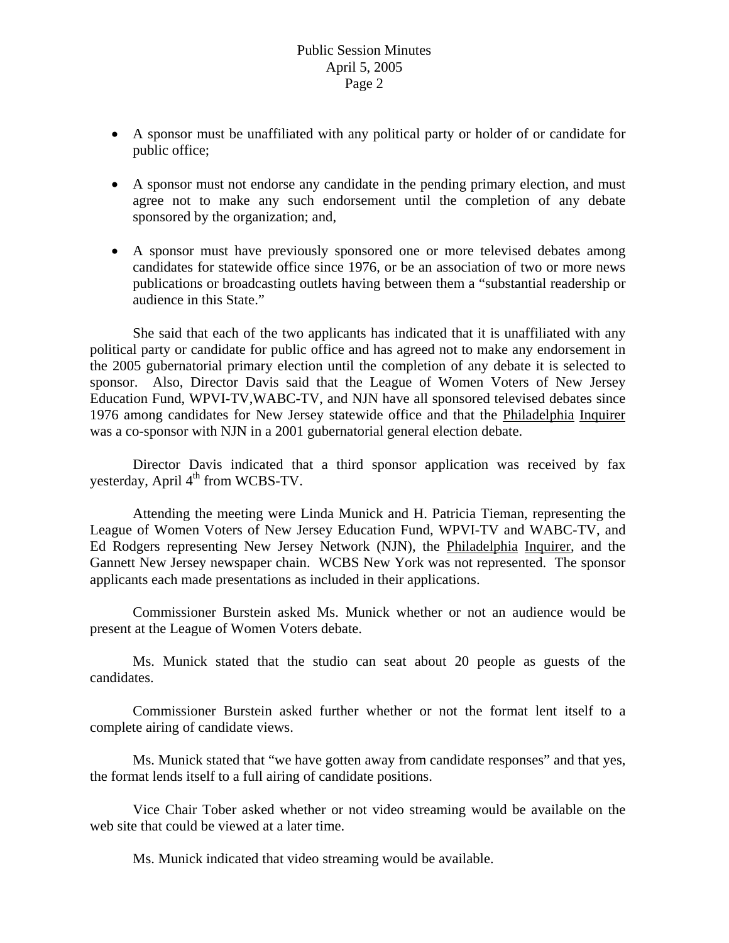- A sponsor must be unaffiliated with any political party or holder of or candidate for public office;
- A sponsor must not endorse any candidate in the pending primary election, and must agree not to make any such endorsement until the completion of any debate sponsored by the organization; and,
- A sponsor must have previously sponsored one or more televised debates among candidates for statewide office since 1976, or be an association of two or more news publications or broadcasting outlets having between them a "substantial readership or audience in this State."

 She said that each of the two applicants has indicated that it is unaffiliated with any political party or candidate for public office and has agreed not to make any endorsement in the 2005 gubernatorial primary election until the completion of any debate it is selected to sponsor. Also, Director Davis said that the League of Women Voters of New Jersey Education Fund, WPVI-TV,WABC-TV, and NJN have all sponsored televised debates since 1976 among candidates for New Jersey statewide office and that the Philadelphia Inquirer was a co-sponsor with NJN in a 2001 gubernatorial general election debate.

 Director Davis indicated that a third sponsor application was received by fax yesterday, April 4<sup>th</sup> from WCBS-TV.

 Attending the meeting were Linda Munick and H. Patricia Tieman, representing the League of Women Voters of New Jersey Education Fund, WPVI-TV and WABC-TV, and Ed Rodgers representing New Jersey Network (NJN), the Philadelphia Inquirer, and the Gannett New Jersey newspaper chain. WCBS New York was not represented. The sponsor applicants each made presentations as included in their applications.

 Commissioner Burstein asked Ms. Munick whether or not an audience would be present at the League of Women Voters debate.

 Ms. Munick stated that the studio can seat about 20 people as guests of the candidates.

 Commissioner Burstein asked further whether or not the format lent itself to a complete airing of candidate views.

 Ms. Munick stated that "we have gotten away from candidate responses" and that yes, the format lends itself to a full airing of candidate positions.

 Vice Chair Tober asked whether or not video streaming would be available on the web site that could be viewed at a later time.

Ms. Munick indicated that video streaming would be available.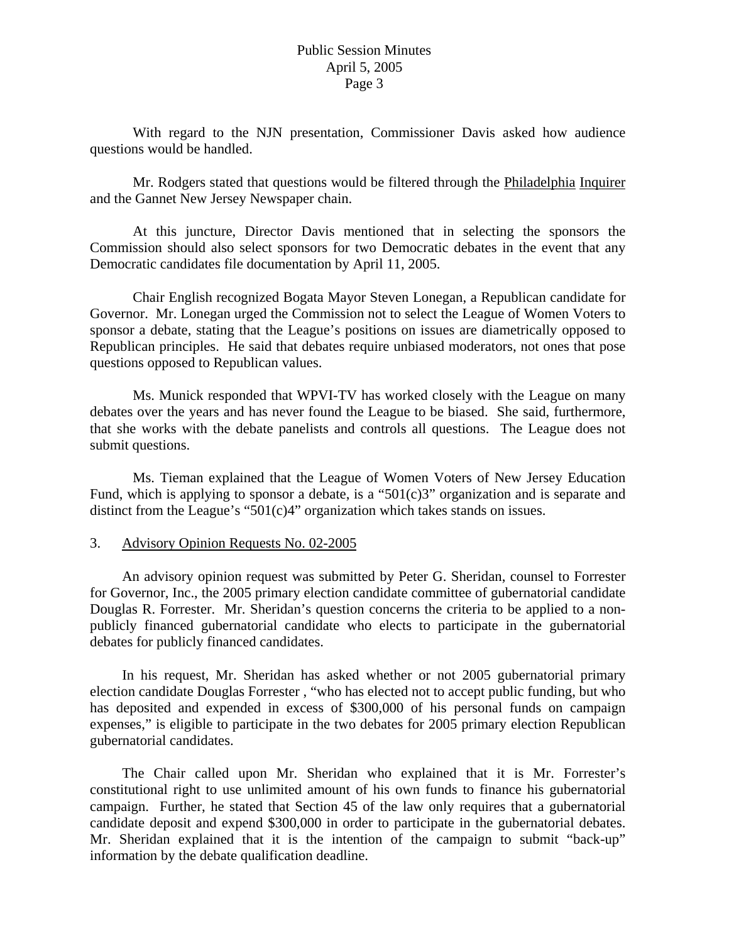With regard to the NJN presentation, Commissioner Davis asked how audience questions would be handled.

 Mr. Rodgers stated that questions would be filtered through the Philadelphia Inquirer and the Gannet New Jersey Newspaper chain.

 At this juncture, Director Davis mentioned that in selecting the sponsors the Commission should also select sponsors for two Democratic debates in the event that any Democratic candidates file documentation by April 11, 2005.

 Chair English recognized Bogata Mayor Steven Lonegan, a Republican candidate for Governor. Mr. Lonegan urged the Commission not to select the League of Women Voters to sponsor a debate, stating that the League's positions on issues are diametrically opposed to Republican principles. He said that debates require unbiased moderators, not ones that pose questions opposed to Republican values.

 Ms. Munick responded that WPVI-TV has worked closely with the League on many debates over the years and has never found the League to be biased. She said, furthermore, that she works with the debate panelists and controls all questions. The League does not submit questions.

 Ms. Tieman explained that the League of Women Voters of New Jersey Education Fund, which is applying to sponsor a debate, is a "501 $(c)$ 3" organization and is separate and distinct from the League's "501(c)4" organization which takes stands on issues.

## 3. Advisory Opinion Requests No. 02-2005

 An advisory opinion request was submitted by Peter G. Sheridan, counsel to Forrester for Governor, Inc., the 2005 primary election candidate committee of gubernatorial candidate Douglas R. Forrester. Mr. Sheridan's question concerns the criteria to be applied to a nonpublicly financed gubernatorial candidate who elects to participate in the gubernatorial debates for publicly financed candidates.

 In his request, Mr. Sheridan has asked whether or not 2005 gubernatorial primary election candidate Douglas Forrester , "who has elected not to accept public funding, but who has deposited and expended in excess of \$300,000 of his personal funds on campaign expenses," is eligible to participate in the two debates for 2005 primary election Republican gubernatorial candidates.

 The Chair called upon Mr. Sheridan who explained that it is Mr. Forrester's constitutional right to use unlimited amount of his own funds to finance his gubernatorial campaign. Further, he stated that Section 45 of the law only requires that a gubernatorial candidate deposit and expend \$300,000 in order to participate in the gubernatorial debates. Mr. Sheridan explained that it is the intention of the campaign to submit "back-up" information by the debate qualification deadline.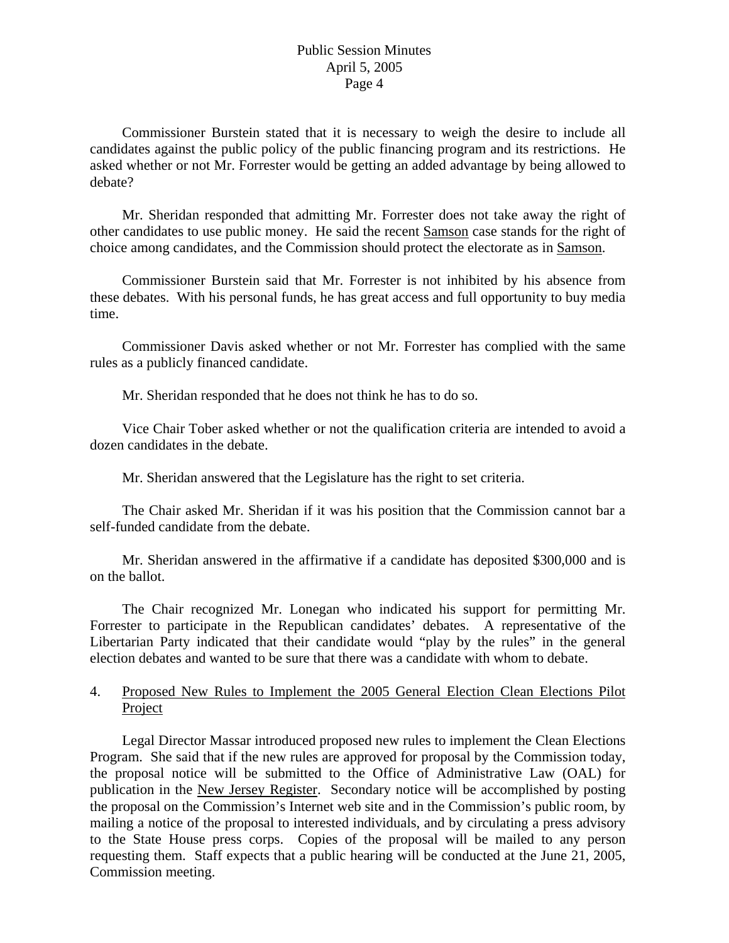Commissioner Burstein stated that it is necessary to weigh the desire to include all candidates against the public policy of the public financing program and its restrictions. He asked whether or not Mr. Forrester would be getting an added advantage by being allowed to debate?

 Mr. Sheridan responded that admitting Mr. Forrester does not take away the right of other candidates to use public money. He said the recent Samson case stands for the right of choice among candidates, and the Commission should protect the electorate as in Samson.

 Commissioner Burstein said that Mr. Forrester is not inhibited by his absence from these debates. With his personal funds, he has great access and full opportunity to buy media time.

 Commissioner Davis asked whether or not Mr. Forrester has complied with the same rules as a publicly financed candidate.

Mr. Sheridan responded that he does not think he has to do so.

 Vice Chair Tober asked whether or not the qualification criteria are intended to avoid a dozen candidates in the debate.

Mr. Sheridan answered that the Legislature has the right to set criteria.

 The Chair asked Mr. Sheridan if it was his position that the Commission cannot bar a self-funded candidate from the debate.

 Mr. Sheridan answered in the affirmative if a candidate has deposited \$300,000 and is on the ballot.

 The Chair recognized Mr. Lonegan who indicated his support for permitting Mr. Forrester to participate in the Republican candidates' debates. A representative of the Libertarian Party indicated that their candidate would "play by the rules" in the general election debates and wanted to be sure that there was a candidate with whom to debate.

# 4. Proposed New Rules to Implement the 2005 General Election Clean Elections Pilot Project

 Legal Director Massar introduced proposed new rules to implement the Clean Elections Program. She said that if the new rules are approved for proposal by the Commission today, the proposal notice will be submitted to the Office of Administrative Law (OAL) for publication in the New Jersey Register. Secondary notice will be accomplished by posting the proposal on the Commission's Internet web site and in the Commission's public room, by mailing a notice of the proposal to interested individuals, and by circulating a press advisory to the State House press corps. Copies of the proposal will be mailed to any person requesting them. Staff expects that a public hearing will be conducted at the June 21, 2005, Commission meeting.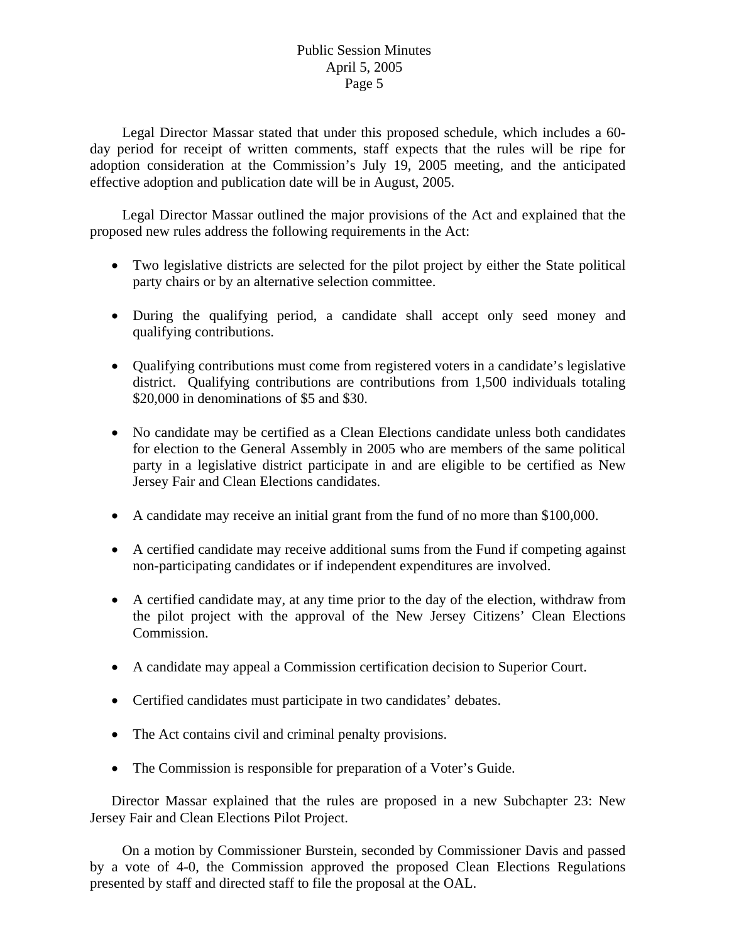Legal Director Massar stated that under this proposed schedule, which includes a 60 day period for receipt of written comments, staff expects that the rules will be ripe for adoption consideration at the Commission's July 19, 2005 meeting, and the anticipated effective adoption and publication date will be in August, 2005.

 Legal Director Massar outlined the major provisions of the Act and explained that the proposed new rules address the following requirements in the Act:

- Two legislative districts are selected for the pilot project by either the State political party chairs or by an alternative selection committee.
- During the qualifying period, a candidate shall accept only seed money and qualifying contributions.
- Qualifying contributions must come from registered voters in a candidate's legislative district. Qualifying contributions are contributions from 1,500 individuals totaling \$20,000 in denominations of \$5 and \$30.
- No candidate may be certified as a Clean Elections candidate unless both candidates for election to the General Assembly in 2005 who are members of the same political party in a legislative district participate in and are eligible to be certified as New Jersey Fair and Clean Elections candidates.
- A candidate may receive an initial grant from the fund of no more than \$100,000.
- A certified candidate may receive additional sums from the Fund if competing against non-participating candidates or if independent expenditures are involved.
- A certified candidate may, at any time prior to the day of the election, withdraw from the pilot project with the approval of the New Jersey Citizens' Clean Elections Commission.
- A candidate may appeal a Commission certification decision to Superior Court.
- Certified candidates must participate in two candidates' debates.
- The Act contains civil and criminal penalty provisions.
- The Commission is responsible for preparation of a Voter's Guide.

Director Massar explained that the rules are proposed in a new Subchapter 23: New Jersey Fair and Clean Elections Pilot Project.

 On a motion by Commissioner Burstein, seconded by Commissioner Davis and passed by a vote of 4-0, the Commission approved the proposed Clean Elections Regulations presented by staff and directed staff to file the proposal at the OAL.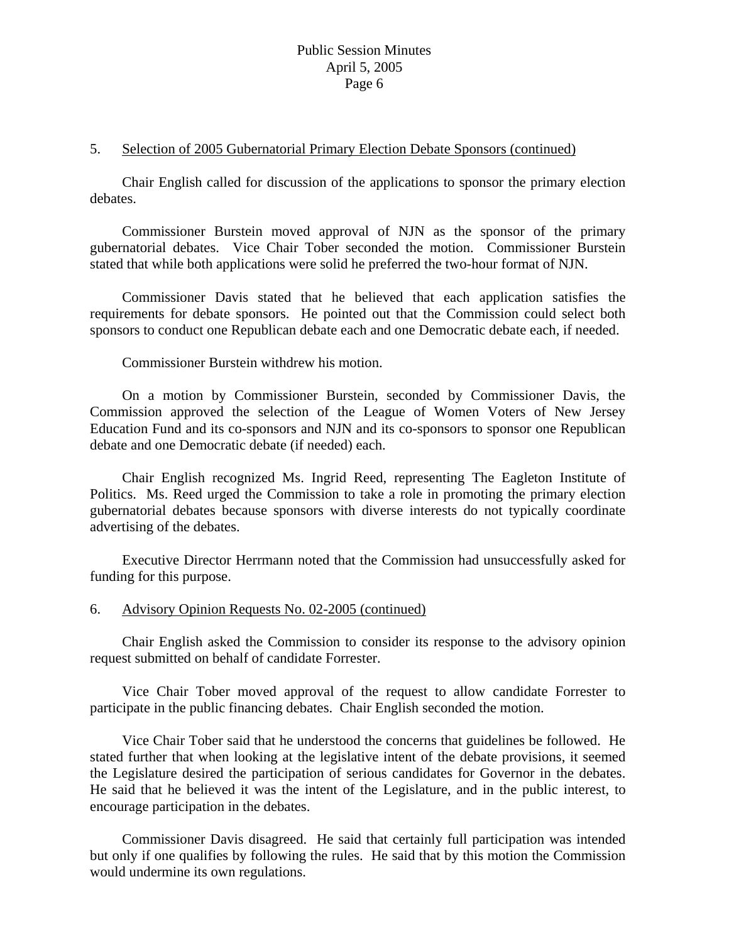#### 5. Selection of 2005 Gubernatorial Primary Election Debate Sponsors (continued)

 Chair English called for discussion of the applications to sponsor the primary election debates.

 Commissioner Burstein moved approval of NJN as the sponsor of the primary gubernatorial debates. Vice Chair Tober seconded the motion. Commissioner Burstein stated that while both applications were solid he preferred the two-hour format of NJN.

 Commissioner Davis stated that he believed that each application satisfies the requirements for debate sponsors. He pointed out that the Commission could select both sponsors to conduct one Republican debate each and one Democratic debate each, if needed.

Commissioner Burstein withdrew his motion.

 On a motion by Commissioner Burstein, seconded by Commissioner Davis, the Commission approved the selection of the League of Women Voters of New Jersey Education Fund and its co-sponsors and NJN and its co-sponsors to sponsor one Republican debate and one Democratic debate (if needed) each.

 Chair English recognized Ms. Ingrid Reed, representing The Eagleton Institute of Politics. Ms. Reed urged the Commission to take a role in promoting the primary election gubernatorial debates because sponsors with diverse interests do not typically coordinate advertising of the debates.

 Executive Director Herrmann noted that the Commission had unsuccessfully asked for funding for this purpose.

## 6. Advisory Opinion Requests No. 02-2005 (continued)

 Chair English asked the Commission to consider its response to the advisory opinion request submitted on behalf of candidate Forrester.

 Vice Chair Tober moved approval of the request to allow candidate Forrester to participate in the public financing debates. Chair English seconded the motion.

 Vice Chair Tober said that he understood the concerns that guidelines be followed. He stated further that when looking at the legislative intent of the debate provisions, it seemed the Legislature desired the participation of serious candidates for Governor in the debates. He said that he believed it was the intent of the Legislature, and in the public interest, to encourage participation in the debates.

 Commissioner Davis disagreed. He said that certainly full participation was intended but only if one qualifies by following the rules. He said that by this motion the Commission would undermine its own regulations.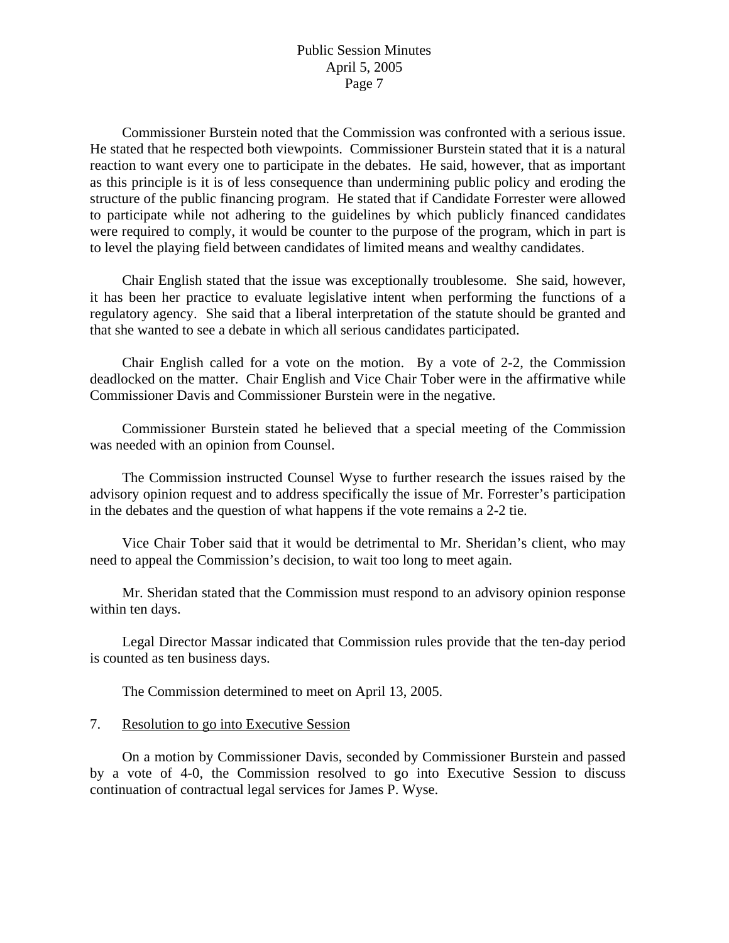Commissioner Burstein noted that the Commission was confronted with a serious issue. He stated that he respected both viewpoints. Commissioner Burstein stated that it is a natural reaction to want every one to participate in the debates. He said, however, that as important as this principle is it is of less consequence than undermining public policy and eroding the structure of the public financing program. He stated that if Candidate Forrester were allowed to participate while not adhering to the guidelines by which publicly financed candidates were required to comply, it would be counter to the purpose of the program, which in part is to level the playing field between candidates of limited means and wealthy candidates.

 Chair English stated that the issue was exceptionally troublesome. She said, however, it has been her practice to evaluate legislative intent when performing the functions of a regulatory agency. She said that a liberal interpretation of the statute should be granted and that she wanted to see a debate in which all serious candidates participated.

 Chair English called for a vote on the motion. By a vote of 2-2, the Commission deadlocked on the matter. Chair English and Vice Chair Tober were in the affirmative while Commissioner Davis and Commissioner Burstein were in the negative.

 Commissioner Burstein stated he believed that a special meeting of the Commission was needed with an opinion from Counsel.

 The Commission instructed Counsel Wyse to further research the issues raised by the advisory opinion request and to address specifically the issue of Mr. Forrester's participation in the debates and the question of what happens if the vote remains a 2-2 tie.

 Vice Chair Tober said that it would be detrimental to Mr. Sheridan's client, who may need to appeal the Commission's decision, to wait too long to meet again.

 Mr. Sheridan stated that the Commission must respond to an advisory opinion response within ten days.

 Legal Director Massar indicated that Commission rules provide that the ten-day period is counted as ten business days.

The Commission determined to meet on April 13, 2005.

# 7. Resolution to go into Executive Session

On a motion by Commissioner Davis, seconded by Commissioner Burstein and passed by a vote of 4-0, the Commission resolved to go into Executive Session to discuss continuation of contractual legal services for James P. Wyse.